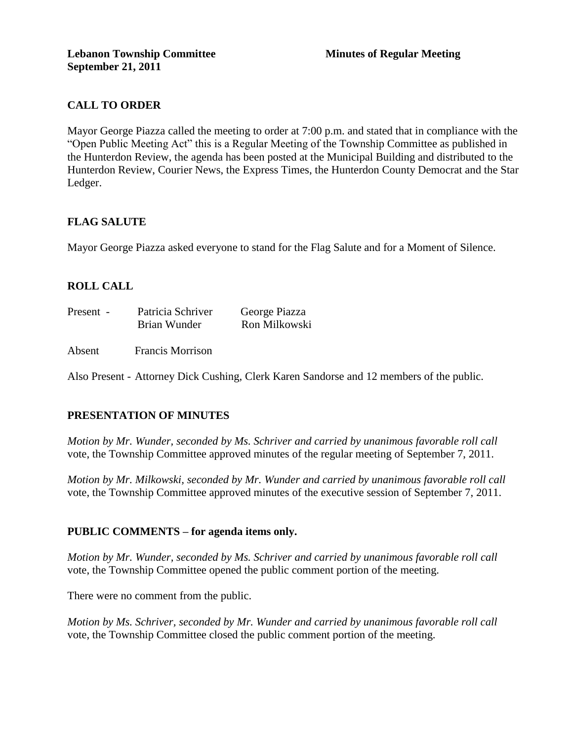# **CALL TO ORDER**

Mayor George Piazza called the meeting to order at 7:00 p.m. and stated that in compliance with the "Open Public Meeting Act" this is a Regular Meeting of the Township Committee as published in the Hunterdon Review, the agenda has been posted at the Municipal Building and distributed to the Hunterdon Review, Courier News, the Express Times, the Hunterdon County Democrat and the Star Ledger.

## **FLAG SALUTE**

Mayor George Piazza asked everyone to stand for the Flag Salute and for a Moment of Silence.

# **ROLL CALL**

| Present - | Patricia Schriver | George Piazza |
|-----------|-------------------|---------------|
|           | Brian Wunder      | Ron Milkowski |

Absent Francis Morrison

Also Present - Attorney Dick Cushing, Clerk Karen Sandorse and 12 members of the public.

# **PRESENTATION OF MINUTES**

*Motion by Mr. Wunder, seconded by Ms. Schriver and carried by unanimous favorable roll call*  vote, the Township Committee approved minutes of the regular meeting of September 7, 2011.

*Motion by Mr. Milkowski, seconded by Mr. Wunder and carried by unanimous favorable roll call*  vote, the Township Committee approved minutes of the executive session of September 7, 2011.

## **PUBLIC COMMENTS – for agenda items only.**

*Motion by Mr. Wunder, seconded by Ms. Schriver and carried by unanimous favorable roll call*  vote, the Township Committee opened the public comment portion of the meeting.

There were no comment from the public.

*Motion by Ms. Schriver, seconded by Mr. Wunder and carried by unanimous favorable roll call*  vote, the Township Committee closed the public comment portion of the meeting.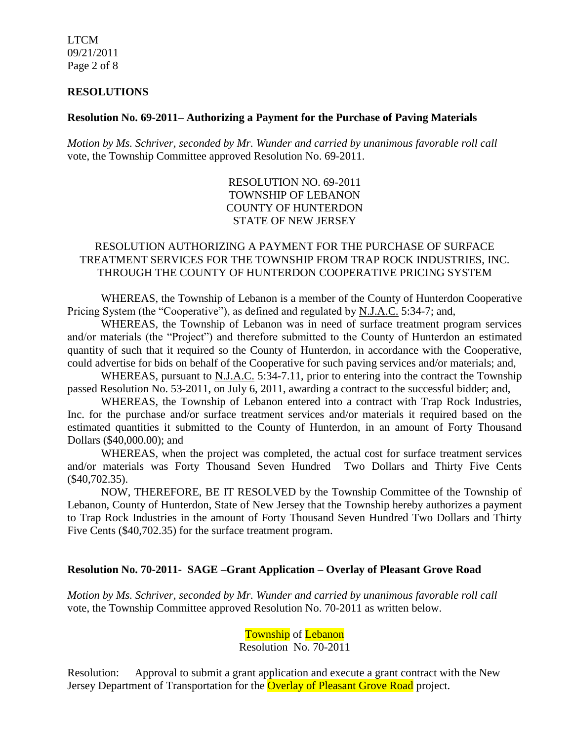LTCM 09/21/2011 Page 2 of 8

#### **RESOLUTIONS**

#### **Resolution No. 69-2011– Authorizing a Payment for the Purchase of Paving Materials**

*Motion by Ms. Schriver, seconded by Mr. Wunder and carried by unanimous favorable roll call*  vote, the Township Committee approved Resolution No. 69-2011.

> RESOLUTION NO. 69-2011 TOWNSHIP OF LEBANON COUNTY OF HUNTERDON STATE OF NEW JERSEY

## RESOLUTION AUTHORIZING A PAYMENT FOR THE PURCHASE OF SURFACE TREATMENT SERVICES FOR THE TOWNSHIP FROM TRAP ROCK INDUSTRIES, INC. THROUGH THE COUNTY OF HUNTERDON COOPERATIVE PRICING SYSTEM

WHEREAS, the Township of Lebanon is a member of the County of Hunterdon Cooperative Pricing System (the "Cooperative"), as defined and regulated by N.J.A.C. 5:34-7; and,

WHEREAS, the Township of Lebanon was in need of surface treatment program services and/or materials (the "Project") and therefore submitted to the County of Hunterdon an estimated quantity of such that it required so the County of Hunterdon, in accordance with the Cooperative, could advertise for bids on behalf of the Cooperative for such paving services and/or materials; and,

WHEREAS, pursuant to N.J.A.C. 5:34-7.11, prior to entering into the contract the Township passed Resolution No. 53-2011, on July 6, 2011, awarding a contract to the successful bidder; and,

WHEREAS, the Township of Lebanon entered into a contract with Trap Rock Industries, Inc. for the purchase and/or surface treatment services and/or materials it required based on the estimated quantities it submitted to the County of Hunterdon, in an amount of Forty Thousand Dollars (\$40,000.00); and

WHEREAS, when the project was completed, the actual cost for surface treatment services and/or materials was Forty Thousand Seven Hundred Two Dollars and Thirty Five Cents (\$40,702.35).

NOW, THEREFORE, BE IT RESOLVED by the Township Committee of the Township of Lebanon, County of Hunterdon, State of New Jersey that the Township hereby authorizes a payment to Trap Rock Industries in the amount of Forty Thousand Seven Hundred Two Dollars and Thirty Five Cents (\$40,702.35) for the surface treatment program.

## **Resolution No. 70-2011- SAGE –Grant Application – Overlay of Pleasant Grove Road**

*Motion by Ms. Schriver, seconded by Mr. Wunder and carried by unanimous favorable roll call*  vote, the Township Committee approved Resolution No. 70-2011 as written below.

> Township of Lebanon Resolution No. 70-2011

Resolution: Approval to submit a grant application and execute a grant contract with the New Jersey Department of Transportation for the **Overlay of Pleasant Grove Road** project.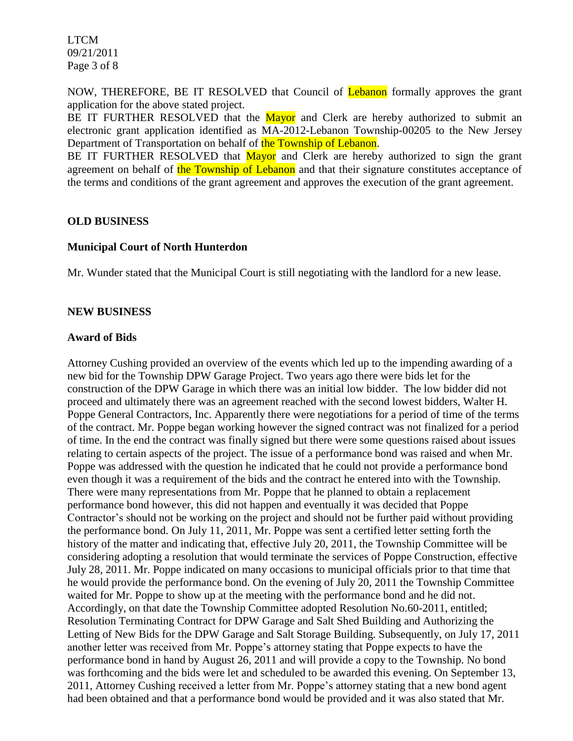LTCM 09/21/2011 Page 3 of 8

NOW, THEREFORE, BE IT RESOLVED that Council of Lebanon formally approves the grant application for the above stated project.

BE IT FURTHER RESOLVED that the Mayor and Clerk are hereby authorized to submit an electronic grant application identified as MA-2012-Lebanon Township-00205 to the New Jersey Department of Transportation on behalf of the Township of Lebanon.

BE IT FURTHER RESOLVED that Mayor and Clerk are hereby authorized to sign the grant agreement on behalf of the Township of Lebanon and that their signature constitutes acceptance of the terms and conditions of the grant agreement and approves the execution of the grant agreement.

## **OLD BUSINESS**

## **Municipal Court of North Hunterdon**

Mr. Wunder stated that the Municipal Court is still negotiating with the landlord for a new lease.

## **NEW BUSINESS**

#### **Award of Bids**

Attorney Cushing provided an overview of the events which led up to the impending awarding of a new bid for the Township DPW Garage Project. Two years ago there were bids let for the construction of the DPW Garage in which there was an initial low bidder. The low bidder did not proceed and ultimately there was an agreement reached with the second lowest bidders, Walter H. Poppe General Contractors, Inc. Apparently there were negotiations for a period of time of the terms of the contract. Mr. Poppe began working however the signed contract was not finalized for a period of time. In the end the contract was finally signed but there were some questions raised about issues relating to certain aspects of the project. The issue of a performance bond was raised and when Mr. Poppe was addressed with the question he indicated that he could not provide a performance bond even though it was a requirement of the bids and the contract he entered into with the Township. There were many representations from Mr. Poppe that he planned to obtain a replacement performance bond however, this did not happen and eventually it was decided that Poppe Contractor's should not be working on the project and should not be further paid without providing the performance bond. On July 11, 2011, Mr. Poppe was sent a certified letter setting forth the history of the matter and indicating that, effective July 20, 2011, the Township Committee will be considering adopting a resolution that would terminate the services of Poppe Construction, effective July 28, 2011. Mr. Poppe indicated on many occasions to municipal officials prior to that time that he would provide the performance bond. On the evening of July 20, 2011 the Township Committee waited for Mr. Poppe to show up at the meeting with the performance bond and he did not. Accordingly, on that date the Township Committee adopted Resolution No.60-2011, entitled; Resolution Terminating Contract for DPW Garage and Salt Shed Building and Authorizing the Letting of New Bids for the DPW Garage and Salt Storage Building. Subsequently, on July 17, 2011 another letter was received from Mr. Poppe's attorney stating that Poppe expects to have the performance bond in hand by August 26, 2011 and will provide a copy to the Township. No bond was forthcoming and the bids were let and scheduled to be awarded this evening. On September 13, 2011, Attorney Cushing received a letter from Mr. Poppe's attorney stating that a new bond agent had been obtained and that a performance bond would be provided and it was also stated that Mr.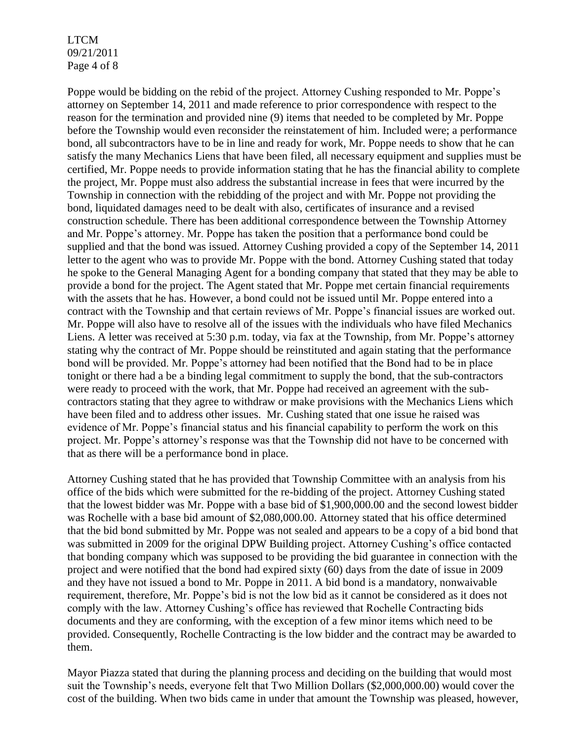LTCM 09/21/2011 Page 4 of 8

Poppe would be bidding on the rebid of the project. Attorney Cushing responded to Mr. Poppe's attorney on September 14, 2011 and made reference to prior correspondence with respect to the reason for the termination and provided nine (9) items that needed to be completed by Mr. Poppe before the Township would even reconsider the reinstatement of him. Included were; a performance bond, all subcontractors have to be in line and ready for work, Mr. Poppe needs to show that he can satisfy the many Mechanics Liens that have been filed, all necessary equipment and supplies must be certified, Mr. Poppe needs to provide information stating that he has the financial ability to complete the project, Mr. Poppe must also address the substantial increase in fees that were incurred by the Township in connection with the rebidding of the project and with Mr. Poppe not providing the bond, liquidated damages need to be dealt with also, certificates of insurance and a revised construction schedule. There has been additional correspondence between the Township Attorney and Mr. Poppe's attorney. Mr. Poppe has taken the position that a performance bond could be supplied and that the bond was issued. Attorney Cushing provided a copy of the September 14, 2011 letter to the agent who was to provide Mr. Poppe with the bond. Attorney Cushing stated that today he spoke to the General Managing Agent for a bonding company that stated that they may be able to provide a bond for the project. The Agent stated that Mr. Poppe met certain financial requirements with the assets that he has. However, a bond could not be issued until Mr. Poppe entered into a contract with the Township and that certain reviews of Mr. Poppe's financial issues are worked out. Mr. Poppe will also have to resolve all of the issues with the individuals who have filed Mechanics Liens. A letter was received at 5:30 p.m. today, via fax at the Township, from Mr. Poppe's attorney stating why the contract of Mr. Poppe should be reinstituted and again stating that the performance bond will be provided. Mr. Poppe's attorney had been notified that the Bond had to be in place tonight or there had a be a binding legal commitment to supply the bond, that the sub-contractors were ready to proceed with the work, that Mr. Poppe had received an agreement with the subcontractors stating that they agree to withdraw or make provisions with the Mechanics Liens which have been filed and to address other issues. Mr. Cushing stated that one issue he raised was evidence of Mr. Poppe's financial status and his financial capability to perform the work on this project. Mr. Poppe's attorney's response was that the Township did not have to be concerned with that as there will be a performance bond in place.

Attorney Cushing stated that he has provided that Township Committee with an analysis from his office of the bids which were submitted for the re-bidding of the project. Attorney Cushing stated that the lowest bidder was Mr. Poppe with a base bid of \$1,900,000.00 and the second lowest bidder was Rochelle with a base bid amount of \$2,080,000.00. Attorney stated that his office determined that the bid bond submitted by Mr. Poppe was not sealed and appears to be a copy of a bid bond that was submitted in 2009 for the original DPW Building project. Attorney Cushing's office contacted that bonding company which was supposed to be providing the bid guarantee in connection with the project and were notified that the bond had expired sixty (60) days from the date of issue in 2009 and they have not issued a bond to Mr. Poppe in 2011. A bid bond is a mandatory, nonwaivable requirement, therefore, Mr. Poppe's bid is not the low bid as it cannot be considered as it does not comply with the law. Attorney Cushing's office has reviewed that Rochelle Contracting bids documents and they are conforming, with the exception of a few minor items which need to be provided. Consequently, Rochelle Contracting is the low bidder and the contract may be awarded to them.

Mayor Piazza stated that during the planning process and deciding on the building that would most suit the Township's needs, everyone felt that Two Million Dollars (\$2,000,000.00) would cover the cost of the building. When two bids came in under that amount the Township was pleased, however,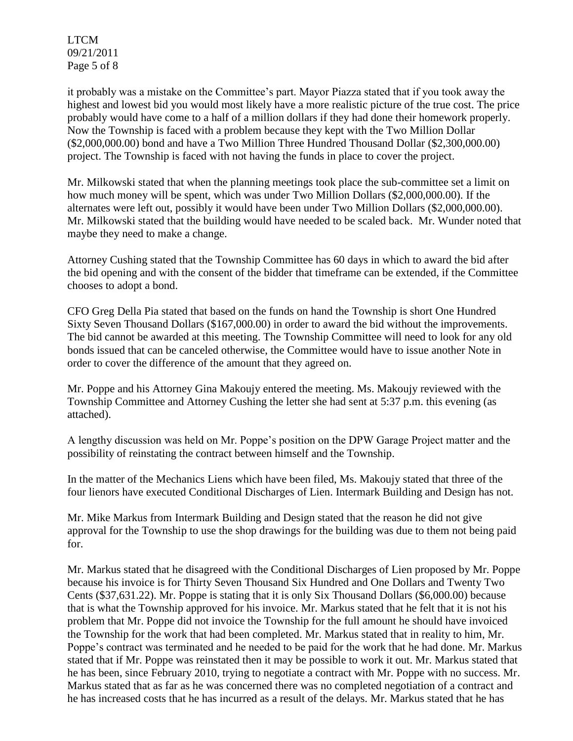LTCM 09/21/2011 Page 5 of 8

it probably was a mistake on the Committee's part. Mayor Piazza stated that if you took away the highest and lowest bid you would most likely have a more realistic picture of the true cost. The price probably would have come to a half of a million dollars if they had done their homework properly. Now the Township is faced with a problem because they kept with the Two Million Dollar (\$2,000,000.00) bond and have a Two Million Three Hundred Thousand Dollar (\$2,300,000.00) project. The Township is faced with not having the funds in place to cover the project.

Mr. Milkowski stated that when the planning meetings took place the sub-committee set a limit on how much money will be spent, which was under Two Million Dollars (\$2,000,000.00). If the alternates were left out, possibly it would have been under Two Million Dollars (\$2,000,000.00). Mr. Milkowski stated that the building would have needed to be scaled back. Mr. Wunder noted that maybe they need to make a change.

Attorney Cushing stated that the Township Committee has 60 days in which to award the bid after the bid opening and with the consent of the bidder that timeframe can be extended, if the Committee chooses to adopt a bond.

CFO Greg Della Pia stated that based on the funds on hand the Township is short One Hundred Sixty Seven Thousand Dollars (\$167,000.00) in order to award the bid without the improvements. The bid cannot be awarded at this meeting. The Township Committee will need to look for any old bonds issued that can be canceled otherwise, the Committee would have to issue another Note in order to cover the difference of the amount that they agreed on.

Mr. Poppe and his Attorney Gina Makoujy entered the meeting. Ms. Makoujy reviewed with the Township Committee and Attorney Cushing the letter she had sent at 5:37 p.m. this evening (as attached).

A lengthy discussion was held on Mr. Poppe's position on the DPW Garage Project matter and the possibility of reinstating the contract between himself and the Township.

In the matter of the Mechanics Liens which have been filed, Ms. Makoujy stated that three of the four lienors have executed Conditional Discharges of Lien. Intermark Building and Design has not.

Mr. Mike Markus from Intermark Building and Design stated that the reason he did not give approval for the Township to use the shop drawings for the building was due to them not being paid for.

Mr. Markus stated that he disagreed with the Conditional Discharges of Lien proposed by Mr. Poppe because his invoice is for Thirty Seven Thousand Six Hundred and One Dollars and Twenty Two Cents (\$37,631.22). Mr. Poppe is stating that it is only Six Thousand Dollars (\$6,000.00) because that is what the Township approved for his invoice. Mr. Markus stated that he felt that it is not his problem that Mr. Poppe did not invoice the Township for the full amount he should have invoiced the Township for the work that had been completed. Mr. Markus stated that in reality to him, Mr. Poppe's contract was terminated and he needed to be paid for the work that he had done. Mr. Markus stated that if Mr. Poppe was reinstated then it may be possible to work it out. Mr. Markus stated that he has been, since February 2010, trying to negotiate a contract with Mr. Poppe with no success. Mr. Markus stated that as far as he was concerned there was no completed negotiation of a contract and he has increased costs that he has incurred as a result of the delays. Mr. Markus stated that he has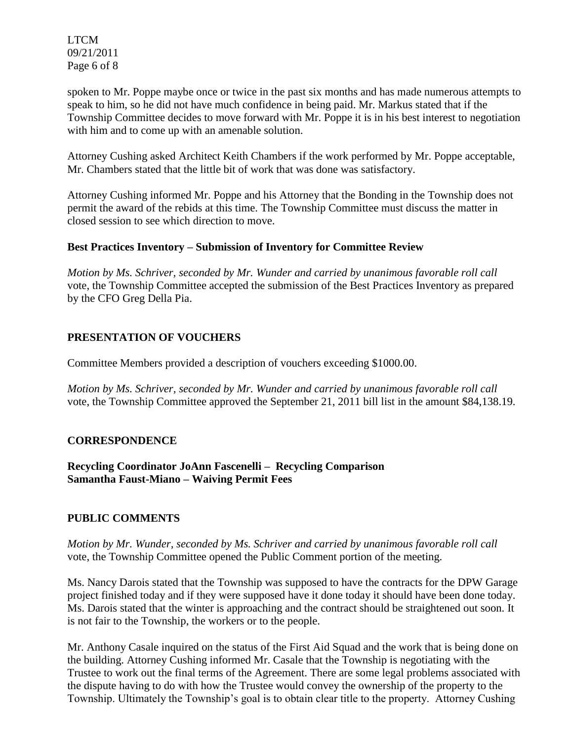LTCM 09/21/2011 Page 6 of 8

spoken to Mr. Poppe maybe once or twice in the past six months and has made numerous attempts to speak to him, so he did not have much confidence in being paid. Mr. Markus stated that if the Township Committee decides to move forward with Mr. Poppe it is in his best interest to negotiation with him and to come up with an amenable solution.

Attorney Cushing asked Architect Keith Chambers if the work performed by Mr. Poppe acceptable, Mr. Chambers stated that the little bit of work that was done was satisfactory.

Attorney Cushing informed Mr. Poppe and his Attorney that the Bonding in the Township does not permit the award of the rebids at this time. The Township Committee must discuss the matter in closed session to see which direction to move.

# **Best Practices Inventory – Submission of Inventory for Committee Review**

*Motion by Ms. Schriver, seconded by Mr. Wunder and carried by unanimous favorable roll call*  vote, the Township Committee accepted the submission of the Best Practices Inventory as prepared by the CFO Greg Della Pia.

# **PRESENTATION OF VOUCHERS**

Committee Members provided a description of vouchers exceeding \$1000.00.

*Motion by Ms. Schriver, seconded by Mr. Wunder and carried by unanimous favorable roll call*  vote, the Township Committee approved the September 21, 2011 bill list in the amount \$84,138.19.

# **CORRESPONDENCE**

**Recycling Coordinator JoAnn Fascenelli – Recycling Comparison Samantha Faust-Miano – Waiving Permit Fees** 

# **PUBLIC COMMENTS**

*Motion by Mr. Wunder, seconded by Ms. Schriver and carried by unanimous favorable roll call*  vote, the Township Committee opened the Public Comment portion of the meeting.

Ms. Nancy Darois stated that the Township was supposed to have the contracts for the DPW Garage project finished today and if they were supposed have it done today it should have been done today. Ms. Darois stated that the winter is approaching and the contract should be straightened out soon. It is not fair to the Township, the workers or to the people.

Mr. Anthony Casale inquired on the status of the First Aid Squad and the work that is being done on the building. Attorney Cushing informed Mr. Casale that the Township is negotiating with the Trustee to work out the final terms of the Agreement. There are some legal problems associated with the dispute having to do with how the Trustee would convey the ownership of the property to the Township. Ultimately the Township's goal is to obtain clear title to the property. Attorney Cushing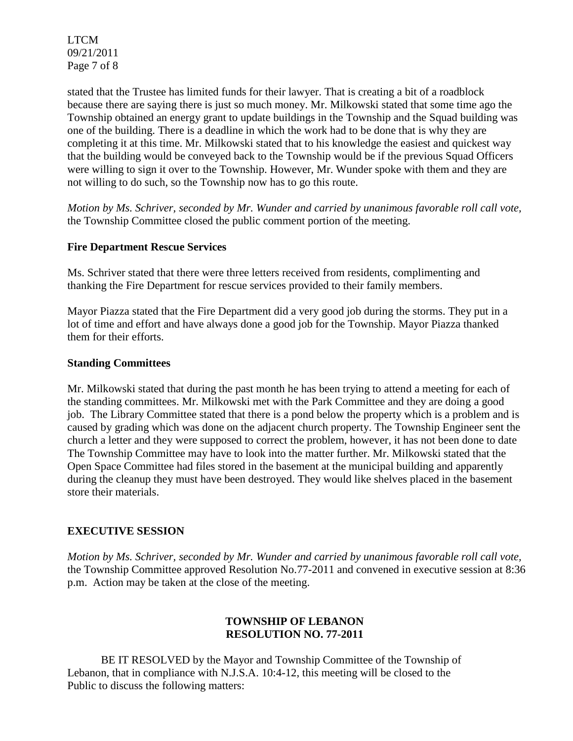LTCM 09/21/2011 Page 7 of 8

stated that the Trustee has limited funds for their lawyer. That is creating a bit of a roadblock because there are saying there is just so much money. Mr. Milkowski stated that some time ago the Township obtained an energy grant to update buildings in the Township and the Squad building was one of the building. There is a deadline in which the work had to be done that is why they are completing it at this time. Mr. Milkowski stated that to his knowledge the easiest and quickest way that the building would be conveyed back to the Township would be if the previous Squad Officers were willing to sign it over to the Township. However, Mr. Wunder spoke with them and they are not willing to do such, so the Township now has to go this route.

*Motion by Ms. Schriver, seconded by Mr. Wunder and carried by unanimous favorable roll call vote,* the Township Committee closed the public comment portion of the meeting.

## **Fire Department Rescue Services**

Ms. Schriver stated that there were three letters received from residents, complimenting and thanking the Fire Department for rescue services provided to their family members.

Mayor Piazza stated that the Fire Department did a very good job during the storms. They put in a lot of time and effort and have always done a good job for the Township. Mayor Piazza thanked them for their efforts.

## **Standing Committees**

Mr. Milkowski stated that during the past month he has been trying to attend a meeting for each of the standing committees. Mr. Milkowski met with the Park Committee and they are doing a good job. The Library Committee stated that there is a pond below the property which is a problem and is caused by grading which was done on the adjacent church property. The Township Engineer sent the church a letter and they were supposed to correct the problem, however, it has not been done to date The Township Committee may have to look into the matter further. Mr. Milkowski stated that the Open Space Committee had files stored in the basement at the municipal building and apparently during the cleanup they must have been destroyed. They would like shelves placed in the basement store their materials.

# **EXECUTIVE SESSION**

*Motion by Ms. Schriver, seconded by Mr. Wunder and carried by unanimous favorable roll call vote,* the Township Committee approved Resolution No.77-2011 and convened in executive session at 8:36 p.m. Action may be taken at the close of the meeting.

# **TOWNSHIP OF LEBANON RESOLUTION NO. 77-2011**

BE IT RESOLVED by the Mayor and Township Committee of the Township of Lebanon, that in compliance with N.J.S.A. 10:4-12, this meeting will be closed to the Public to discuss the following matters: